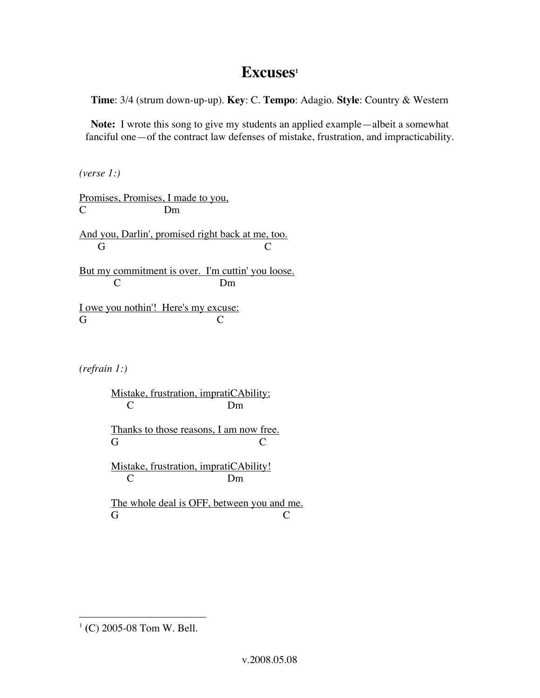## Excuses<sup>1</sup>

**Time**: 3/4 (strum down-up-up). **Key**: C. **Tempo**: Adagio. **Style**: Country & Western

**Note:** I wrote this song to give my students an applied example—albeit a somewhat fanciful one—of the contract law defenses of mistake, frustration, and impracticability.

*(verse 1:)*

Promises, Promises, I made to you, C Dm

And you, Darlin', promised right back at me, too. G C

But my commitment is over. I'm cuttin' you loose. C Dm

I owe you nothin'! Here's my excuse: G C

*(refrain 1:)*

Mistake, frustration, impratiCAbility: C Dm Thanks to those reasons, I am now free. G C

Mistake, frustration, impratiCAbility! C Dm

The whole deal is OFF, between you and me. G C

 <sup>1</sup> **(**C) 2005-08 Tom W. Bell.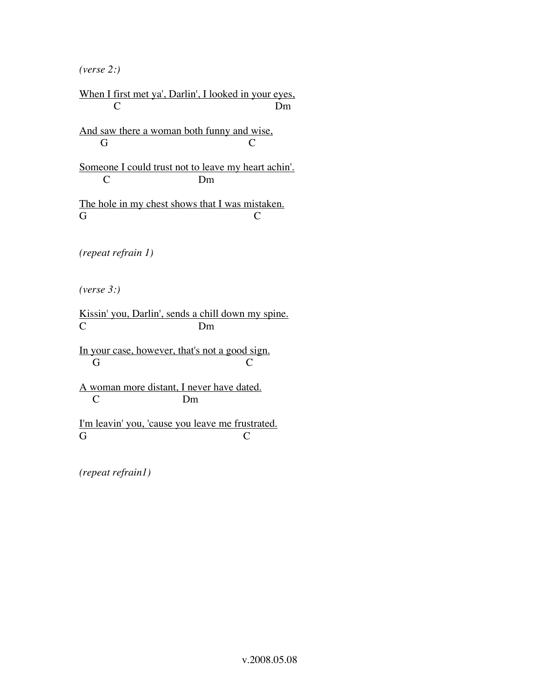*(verse 2:)*

When I first met ya', Darlin', I looked in your eyes, C Dm

And saw there a woman both funny and wise, G C

Someone I could trust not to leave my heart achin'. C Dm

The hole in my chest shows that I was mistaken. G C

*(repeat refrain 1)*

*(verse 3:)*

Kissin' you, Darlin', sends a chill down my spine. C Dm

In your case, however, that's not a good sign. G C

A woman more distant, I never have dated.<br>C Dm D<sub>m</sub>

I'm leavin' you, 'cause you leave me frustrated. G C

*(repeat refrain1)*